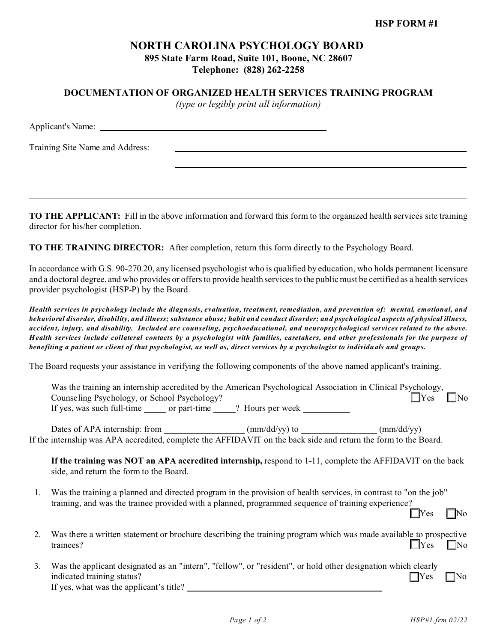## **NORTH CAROLINA PSYCHOLOGY BOARD 895 State Farm Road, Suite 101, Boone, NC 28607 Telephone: (828) 262-2258**

**DOCUMENTATION OF ORGANIZED HEALTH SERVICES TRAINING PROGRAM**

*(type or legibly print all information)*

| Training Site Name and Address: |  |
|---------------------------------|--|
|                                 |  |
|                                 |  |
|                                 |  |
|                                 |  |

**TO THE APPLICANT:** Fill in the above information and forward this form to the organized health services site training director for his/her completion.

**TO THE TRAINING DIRECTOR:** After completion, return this form directly to the Psychology Board.

In accordance with G.S. 90-270.20, any licensed psychologist who is qualified by education, who holds permanent licensure and a doctoral degree, and who provides or offers to provide health services to the public must be certified as a health services provider psychologist (HSP-P) by the Board.

*Health services in psychology include the diagnosis, evaluation, treatment, remediation, and prevention of: mental, emotional, and behavioral disorder, disability, and illness; substance abuse; habit and conduct disorder; and psychological aspects of physical illness, accident, injury, and disability. Included are counseling, psychoeducational, and neuropsychological services related to the above. Health services include collateral contacts by a psychologist with families, caretakers, and other professionals for the purpose of benefiting a patient or client of that psychologist, as well as, direct services by a psychologist to individuals and groups.*

The Board requests your assistance in verifying the following components of the above named applicant's training.

|    | Was the training an internship accredited by the American Psychological Association in Clinical Psychology,<br>$\Box$ Yes<br>$\Box$ No<br>Counseling Psychology, or School Psychology?                                                          |
|----|-------------------------------------------------------------------------------------------------------------------------------------------------------------------------------------------------------------------------------------------------|
|    | If yes, was such full-time _______ or part-time _____? Hours per week __________                                                                                                                                                                |
|    | Dates of APA internship: from $(mm/dd/yy)$ to $(mm/dd/yy)$ (mm/dd/yy)<br>If the internship was APA accredited, complete the AFFIDAVIT on the back side and return the form to the Board.                                                        |
|    | If the training was NOT an APA accredited internship, respond to 1-11, complete the AFFIDAVIT on the back<br>side, and return the form to the Board.                                                                                            |
| 1. | Was the training a planned and directed program in the provision of health services, in contrast to "on the job"<br>training, and was the trainee provided with a planned, programmed sequence of training experience?<br><b>I</b> Yes<br>- INo |
| 2. | Was there a written statement or brochure describing the training program which was made available to prospective<br>$\exists$ Yes<br>$\Box$ No<br>trainees?                                                                                    |
| 3. | Was the applicant designated as an "intern", "fellow", or "resident", or hold other designation which clearly<br>indicated training status?<br><b>T</b> Yes<br>- INo<br>If yes, what was the applicant's title?                                 |